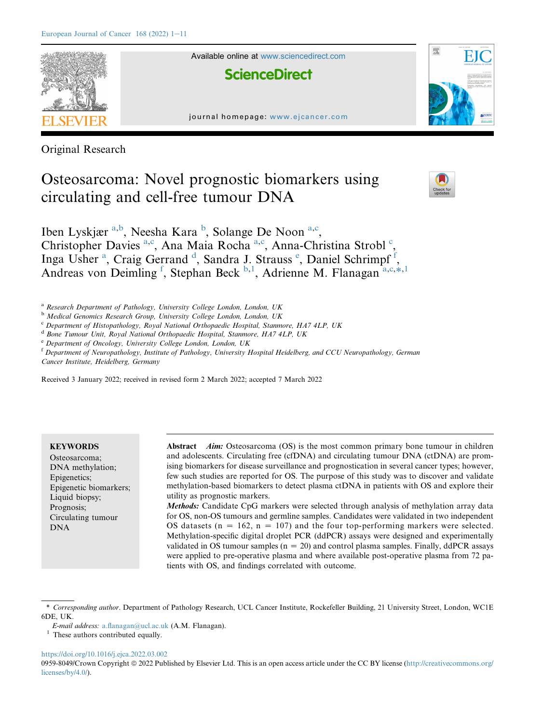

Available online at [www.sciencedirect.com](www.sciencedirect.com/science/journal/09598049)

**ScienceDirect** 





Original Research

# Osteosarcoma: Novel prognostic biomarkers using circulating and cell-free tumour DNA



Iben Lyskjær <sup>[a](#page-0-0)[,b](#page-0-1)</sup>, Neesha Kara <sup>[b](#page-0-1)</sup>, Solange De Noon <sup>a[,c](#page-0-2)</sup>, Christopher D[a](#page-0-0)vies<sup>a,[c](#page-0-2)</sup>, Ana Maia Rocha<sup>a,c</sup>, Anna-Christina Strobl<sup>c</sup>, Ing[a](#page-0-0) Usher<sup>a</sup>, Craig Gerran[d](#page-0-3)<sup>d</sup>, Sandra J. Strauss<sup>[e](#page-0-4)</sup>, Daniel Schrimp[f](#page-0-5)<sup>f</sup>, Andreas von Deimling<sup>[f](#page-0-5)</sup>, Stephan Beck <sup>[b](#page-0-1), 1</sup>, Adrienne M. Flanagan<sup>a,c,\*[,1](#page-0-6)</sup>

<span id="page-0-0"></span><sup>a</sup> Research Department of Pathology, University College London, London, UK

<span id="page-0-1"></span><sup>b</sup> Medical Genomics Research Group, University College London, London, UK

<span id="page-0-2"></span><sup>c</sup> Department of Histopathology, Royal National Orthopaedic Hospital, Stanmore, HA7 4LP, UK

<span id="page-0-3"></span><sup>d</sup> Bone Tumour Unit, Royal National Orthopaedic Hospital, Stanmore, HA7 4LP, UK

<span id="page-0-4"></span><sup>e</sup> Department of Oncology, University College London, London, UK

<span id="page-0-5"></span><sup>f</sup> Department of Neuropathology, Institute of Pathology, University Hospital Heidelberg, and CCU Neuropathology, German Cancer Institute, Heidelberg, Germany

Received 3 January 2022; received in revised form 2 March 2022; accepted 7 March 2022

# **KEYWORDS**

Osteosarcoma; DNA methylation; Epigenetics; Epigenetic biomarkers; Liquid biopsy; Prognosis; Circulating tumour DNA

Abstract *Aim:* Osteosarcoma (OS) is the most common primary bone tumour in children and adolescents. Circulating free (cfDNA) and circulating tumour DNA (ctDNA) are promising biomarkers for disease surveillance and prognostication in several cancer types; however, few such studies are reported for OS. The purpose of this study was to discover and validate methylation-based biomarkers to detect plasma ctDNA in patients with OS and explore their utility as prognostic markers.

Methods: Candidate CpG markers were selected through analysis of methylation array data for OS, non-OS tumours and germline samples. Candidates were validated in two independent OS datasets ( $n = 162$ ,  $n = 107$ ) and the four top-performing markers were selected. Methylation-specific digital droplet PCR (ddPCR) assays were designed and experimentally validated in OS tumour samples ( $n = 20$ ) and control plasma samples. Finally, ddPCR assays were applied to pre-operative plasma and where available post-operative plasma from 72 patients with OS, and findings correlated with outcome.

#### <https://doi.org/10.1016/j.ejca.2022.03.002>

0959-8049/Crown Copyright  $\circledcirc$  2022 Published by Elsevier Ltd. This is an open access article under the CC BY license ([http://creativecommons.org/](http://creativecommons.org/licenses/by/4.0/) [licenses/by/4.0/\)](http://creativecommons.org/licenses/by/4.0/).

<span id="page-0-7"></span><sup>\*</sup> Corresponding author. Department of Pathology Research, UCL Cancer Institute, Rockefeller Building, 21 University Street, London, WC1E 6DE, UK.

E-mail address: [a.flanagan@ucl.ac.uk](mailto:a.flanagan@ucl.ac.uk) (A.M. Flanagan).

<span id="page-0-6"></span><sup>&</sup>lt;sup>1</sup> These authors contributed equally.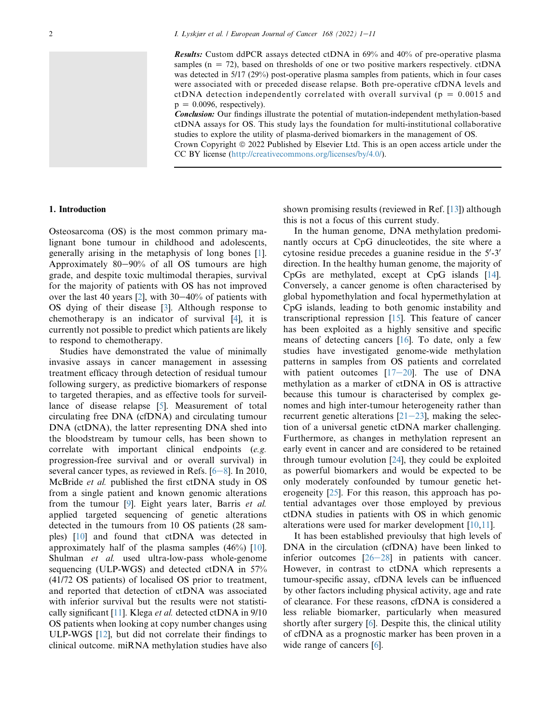Results: Custom ddPCR assays detected ctDNA in 69% and 40% of pre-operative plasma samples ( $n = 72$ ), based on thresholds of one or two positive markers respectively. ctDNA was detected in 5/17 (29%) post-operative plasma samples from patients, which in four cases were associated with or preceded disease relapse. Both pre-operative cfDNA levels and ctDNA detection independently correlated with overall survival ( $p = 0.0015$  and  $p = 0.0096$ , respectively).

Conclusion: Our findings illustrate the potential of mutation-independent methylation-based ctDNA assays for OS. This study lays the foundation for multi-institutional collaborative studies to explore the utility of plasma-derived biomarkers in the management of OS. Crown Copyright  $\odot$  2022 Published by Elsevier Ltd. This is an open access article under the

CC BY license [\(http://creativecommons.org/licenses/by/4.0/\)](http://creativecommons.org/licenses/by/4.0/).

### 1. Introduction

Osteosarcoma (OS) is the most common primary malignant bone tumour in childhood and adolescents, generally arising in the metaphysis of long bones [[1](#page-8-0)]. Approximately  $80-90\%$  of all OS tumours are high grade, and despite toxic multimodal therapies, survival for the majority of patients with OS has not improved over the last 40 years  $[2]$  $[2]$ , with 30–40% of patients with OS dying of their disease [\[3](#page-8-2)]. Although response to chemotherapy is an indicator of survival [\[4](#page-8-3)], it is currently not possible to predict which patients are likely to respond to chemotherapy.

Studies have demonstrated the value of minimally invasive assays in cancer management in assessing treatment efficacy through detection of residual tumour following surgery, as predictive biomarkers of response to targeted therapies, and as effective tools for surveillance of disease relapse [[5\]](#page-9-0). Measurement of total circulating free DNA (cfDNA) and circulating tumour DNA (ctDNA), the latter representing DNA shed into the bloodstream by tumour cells, has been shown to correlate with important clinical endpoints (e.g. progression-free survival and or overall survival) in several cancer types, as reviewed in Refs.  $[6-8]$  $[6-8]$  $[6-8]$  $[6-8]$  $[6-8]$ . In 2010, McBride et al. published the first ctDNA study in OS from a single patient and known genomic alterations from the tumour [[9\]](#page-9-2). Eight years later, Barris et al. applied targeted sequencing of genetic alterations detected in the tumours from 10 OS patients (28 samples) [\[10\]](#page-9-3) and found that ctDNA was detected in approximately half of the plasma samples (46%) [[10](#page-9-3)]. Shulman et al. used ultra-low-pass whole-genome sequencing (ULP-WGS) and detected ctDNA in 57% (41/72 OS patients) of localised OS prior to treatment, and reported that detection of ctDNA was associated with inferior survival but the results were not statisti-cally significant [\[11](#page-9-4)]. Klega et al. detected ctDNA in 9/10 OS patients when looking at copy number changes using ULP-WGS [\[12](#page-9-5)], but did not correlate their findings to clinical outcome. miRNA methylation studies have also

shown promising results (reviewed in Ref. [\[13](#page-9-6)]) although this is not a focus of this current study.

In the human genome, DNA methylation predominantly occurs at CpG dinucleotides, the site where a cytosine residue precedes a guanine residue in the  $5'$ -3' direction. In the healthy human genome, the majority of CpGs are methylated, except at CpG islands [[14\]](#page-9-7). Conversely, a cancer genome is often characterised by global hypomethylation and focal hypermethylation at CpG islands, leading to both genomic instability and transcriptional repression [[15\]](#page-9-8). This feature of cancer has been exploited as a highly sensitive and specific means of detecting cancers [[16](#page-9-9)]. To date, only a few studies have investigated genome-wide methylation patterns in samples from OS patients and correlated with patient outcomes  $[17-20]$  $[17-20]$  $[17-20]$  $[17-20]$  $[17-20]$ . The use of DNA methylation as a marker of ctDNA in OS is attractive because this tumour is characterised by complex genomes and high inter-tumour heterogeneity rather than recurrent genetic alterations  $[21-23]$  $[21-23]$  $[21-23]$ , making the selection of a universal genetic ctDNA marker challenging. Furthermore, as changes in methylation represent an early event in cancer and are considered to be retained through tumour evolution [\[24](#page-9-12)], they could be exploited as powerful biomarkers and would be expected to be only moderately confounded by tumour genetic heterogeneity [\[25](#page-9-13)]. For this reason, this approach has potential advantages over those employed by previous ctDNA studies in patients with OS in which genomic alterations were used for marker development [\[10](#page-9-3)[,11](#page-9-4)].

It has been established previoulsy that high levels of DNA in the circulation (cfDNA) have been linked to inferior outcomes  $[26-28]$  $[26-28]$  $[26-28]$  in patients with cancer. However, in contrast to ctDNA which represents a tumour-specific assay, cfDNA levels can be influenced by other factors including physical activity, age and rate of clearance. For these reasons, cfDNA is considered a less reliable biomarker, particularly when measured shortly after surgery [\[6](#page-9-1)]. Despite this, the clinical utility of cfDNA as a prognostic marker has been proven in a wide range of cancers [\[6](#page-9-1)].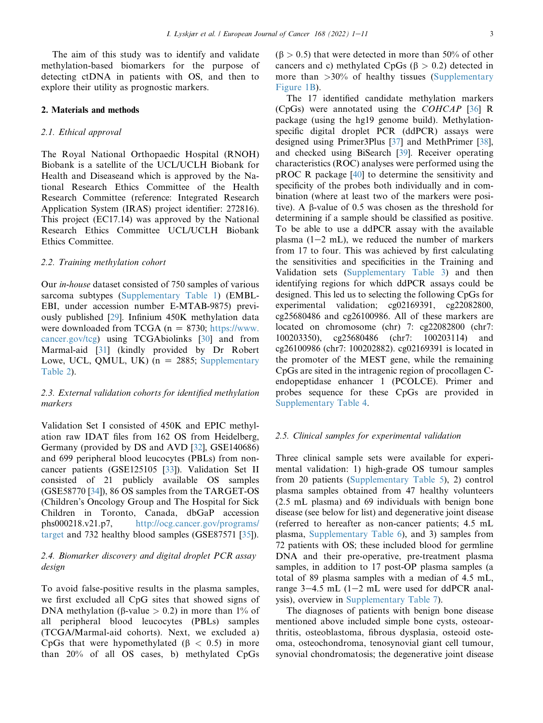The aim of this study was to identify and validate methylation-based biomarkers for the purpose of detecting ctDNA in patients with OS, and then to explore their utility as prognostic markers.

## 2. Materials and methods

### 2.1. Ethical approval

The Royal National Orthopaedic Hospital (RNOH) Biobank is a satellite of the UCL/UCLH Biobank for Health and Diseaseand which is approved by the National Research Ethics Committee of the Health Research Committee (reference: Integrated Research Application System (IRAS) project identifier: 272816). This project (EC17.14) was approved by the National Research Ethics Committee UCL/UCLH Biobank Ethics Committee.

## 2.2. Training methylation cohort

Our in-house dataset consisted of 750 samples of various sarcoma subtypes (Supplementary Table 1) (EMBL-EBI, under accession number E-MTAB-9875) previously published [[29\]](#page-9-15). Infinium 450K methylation data were downloaded from TCGA ( $n = 8730$ ; [https://www.](https://www.cancer.gov/tcg) [cancer.gov/tcg](https://www.cancer.gov/tcg)) using TCGAbiolinks [\[30](#page-9-16)] and from Marmal-aid [[31\]](#page-9-17) (kindly provided by Dr Robert Lowe, UCL, QMUL, UK)  $(n = 2885;$  Supplementary Table 2).

# 2.3. External validation cohorts for identified methylation markers

Validation Set I consisted of 450K and EPIC methylation raw IDAT files from 162 OS from Heidelberg, Germany (provided by DS and AVD [\[32](#page-9-18)], GSE140686) and 699 peripheral blood leucocytes (PBLs) from noncancer patients (GSE125105 [\[33](#page-9-19)]). Validation Set II consisted of 21 publicly available OS samples (GSE58770 [\[34](#page-9-20)]), 86 OS samples from the TARGET-OS (Children's Oncology Group and The Hospital for Sick Children in Toronto, Canada, dbGaP accession phs000218.v21.p7, [http://ocg.cancer.gov/programs/](http://ocg.cancer.gov/programs/target) [target](http://ocg.cancer.gov/programs/target) and 732 healthy blood samples (GSE87571 [\[35](#page-9-21)]).

# 2.4. Biomarker discovery and digital droplet PCR assay design

To avoid false-positive results in the plasma samples, we first excluded all CpG sites that showed signs of DNA methylation ( $\beta$ -value > 0.2) in more than 1% of all peripheral blood leucocytes (PBLs) samples (TCGA/Marmal-aid cohorts). Next, we excluded a) CpGs that were hypomethylated ( $\beta$  < 0.5) in more than 20% of all OS cases, b) methylated CpGs  $(\beta > 0.5)$  that were detected in more than 50% of other cancers and c) methylated CpGs ( $\beta > 0.2$ ) detected in more than  $>30\%$  of healthy tissues (Supplementary Figure 1B).

The 17 identified candidate methylation markers (CpGs) were annotated using the COHCAP [\[36](#page-9-22)] R package (using the hg19 genome build). Methylationspecific digital droplet PCR (ddPCR) assays were designed using Primer3Plus [[37\]](#page-9-23) and MethPrimer [\[38](#page-9-24)], and checked using BiSearch [[39\]](#page-9-25). Receiver operating characteristics (ROC) analyses were performed using the pROC R package [\[40](#page-9-26)] to determine the sensitivity and specificity of the probes both individually and in combination (where at least two of the markers were positive). A b-value of 0.5 was chosen as the threshold for determining if a sample should be classified as positive. To be able to use a ddPCR assay with the available plasma  $(1-2$  mL), we reduced the number of markers from 17 to four. This was achieved by first calculating the sensitivities and specificities in the Training and Validation sets (Supplementary Table 3) and then identifying regions for which ddPCR assays could be designed. This led us to selecting the following CpGs for experimental validation; cg02169391, cg22082800, cg25680486 and cg26100986. All of these markers are located on chromosome (chr) 7: cg22082800 (chr7: 100203350), cg25680486 (chr7: 100203114) and cg26100986 (chr7: 100202882). cg02169391 is located in the promoter of the MEST gene, while the remaining CpGs are sited in the intragenic region of procollagen Cendopeptidase enhancer 1 (PCOLCE). Primer and probes sequence for these CpGs are provided in Supplementary Table 4.

#### 2.5. Clinical samples for experimental validation

Three clinical sample sets were available for experimental validation: 1) high-grade OS tumour samples from 20 patients (Supplementary Table 5), 2) control plasma samples obtained from 47 healthy volunteers (2.5 mL plasma) and 69 individuals with benign bone disease (see below for list) and degenerative joint disease (referred to hereafter as non-cancer patients; 4.5 mL plasma, Supplementary Table 6), and 3) samples from 72 patients with OS; these included blood for germline DNA and their pre-operative, pre-treatment plasma samples, in addition to 17 post-OP plasma samples (a total of 89 plasma samples with a median of 4.5 mL, range  $3-4.5$  mL (1-2 mL were used for ddPCR analysis), overview in Supplementary Table 7).

The diagnoses of patients with benign bone disease mentioned above included simple bone cysts, osteoarthritis, osteoblastoma, fibrous dysplasia, osteoid osteoma, osteochondroma, tenosynovial giant cell tumour, synovial chondromatosis; the degenerative joint disease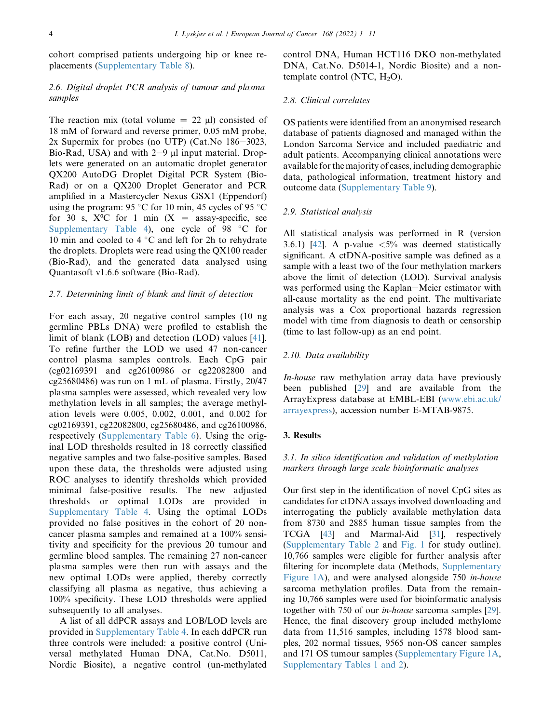cohort comprised patients undergoing hip or knee replacements (Supplementary Table 8).

# 2.6. Digital droplet PCR analysis of tumour and plasma samples

The reaction mix (total volume  $= 22$  ul) consisted of 18 mM of forward and reverse primer, 0.05 mM probe, 2x Supermix for probes (no UTP) (Cat. No  $186-3023$ , Bio-Rad, USA) and with  $2-9$  µl input material. Droplets were generated on an automatic droplet generator QX200 AutoDG Droplet Digital PCR System (Bio-Rad) or on a QX200 Droplet Generator and PCR amplified in a Mastercycler Nexus GSX1 (Eppendorf) using the program: 95 °C for 10 min, 45 cycles of 95 °C for 30 s,  $X^{\circ}C$  for 1 min  $(X =$  assay-specific, see Supplementary Table 4), one cycle of  $98 °C$  for 10 min and cooled to 4  $\degree$ C and left for 2h to rehydrate the droplets. Droplets were read using the QX100 reader (Bio-Rad), and the generated data analysed using Quantasoft v1.6.6 software (Bio-Rad).

## 2.7. Determining limit of blank and limit of detection

For each assay, 20 negative control samples (10 ng germline PBLs DNA) were profiled to establish the limit of blank (LOB) and detection (LOD) values [\[41](#page-9-27)]. To refine further the LOD we used 47 non-cancer control plasma samples controls. Each CpG pair (cg02169391 and cg26100986 or cg22082800 and cg25680486) was run on 1 mL of plasma. Firstly, 20/47 plasma samples were assessed, which revealed very low methylation levels in all samples; the average methylation levels were 0.005, 0.002, 0.001, and 0.002 for cg02169391, cg22082800, cg25680486, and cg26100986, respectively (Supplementary Table 6). Using the original LOD thresholds resulted in 18 correctly classified negative samples and two false-positive samples. Based upon these data, the thresholds were adjusted using ROC analyses to identify thresholds which provided minimal false-positive results. The new adjusted thresholds or optimal LODs are provided in Supplementary Table 4. Using the optimal LODs provided no false positives in the cohort of 20 noncancer plasma samples and remained at a 100% sensitivity and specificity for the previous 20 tumour and germline blood samples. The remaining 27 non-cancer plasma samples were then run with assays and the new optimal LODs were applied, thereby correctly classifying all plasma as negative, thus achieving a 100% specificity. These LOD thresholds were applied subsequently to all analyses.

A list of all ddPCR assays and LOB/LOD levels are provided in Supplementary Table 4. In each ddPCR run three controls were included: a positive control (Universal methylated Human DNA, Cat.No. D5011, Nordic Biosite), a negative control (un-methylated control DNA, Human HCT116 DKO non-methylated DNA, Cat.No. D5014-1, Nordic Biosite) and a nontemplate control (NTC,  $H_2O$ ).

#### 2.8. Clinical correlates

OS patients were identified from an anonymised research database of patients diagnosed and managed within the London Sarcoma Service and included paediatric and adult patients. Accompanying clinical annotations were available for the majority of cases, including demographic data, pathological information, treatment history and outcome data (Supplementary Table 9).

#### 2.9. Statistical analysis

All statistical analysis was performed in R (version 3.6.1) [\[42](#page-9-28)]. A p-value  $\langle 5\%$  was deemed statistically significant. A ctDNA-positive sample was defined as a sample with a least two of the four methylation markers above the limit of detection (LOD). Survival analysis was performed using the Kaplan–Meier estimator with all-cause mortality as the end point. The multivariate analysis was a Cox proportional hazards regression model with time from diagnosis to death or censorship (time to last follow-up) as an end point.

#### 2.10. Data availability

In-house raw methylation array data have previously been published [\[29](#page-9-15)] and are available from the ArrayExpress database at EMBL-EBI [\(www.ebi.ac.uk/](http://www.ebi.ac.uk/arrayexpress) [arrayexpress](http://www.ebi.ac.uk/arrayexpress)), accession number E-MTAB-9875.

## 3. Results

# 3.1. In silico identification and validation of methylation markers through large scale bioinformatic analyses

Our first step in the identification of novel CpG sites as candidates for ctDNA assays involved downloading and interrogating the publicly available methylation data from 8730 and 2885 human tissue samples from the TCGA [[43\]](#page-9-29) and Marmal-Aid [[31\]](#page-9-17), respectively (Supplementary Table 2 and [Fig. 1](#page-4-0) for study outline). 10,766 samples were eligible for further analysis after filtering for incomplete data (Methods, Supplementary Figure 1A), and were analysed alongside 750 in-house sarcoma methylation profiles. Data from the remaining 10,766 samples were used for bioinformatic analysis together with 750 of our in-house sarcoma samples [[29\]](#page-9-15). Hence, the final discovery group included methylome data from 11,516 samples, including 1578 blood samples, 202 normal tissues, 9565 non-OS cancer samples and 171 OS tumour samples (Supplementary Figure 1A, Supplementary Tables 1 and 2).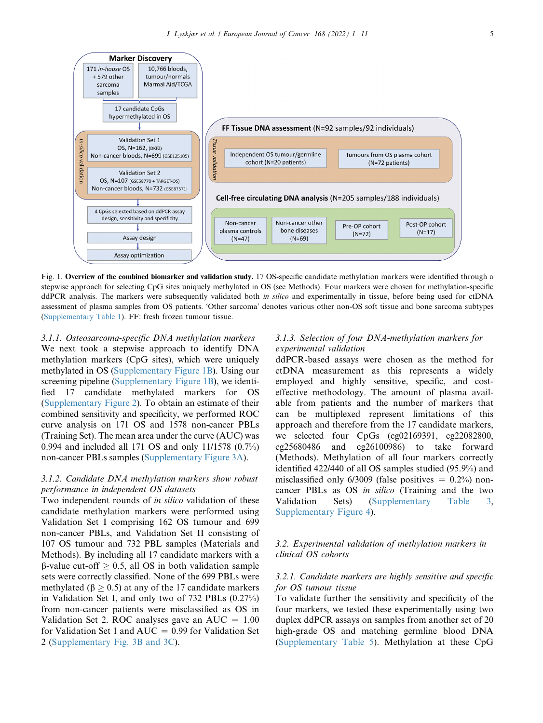<span id="page-4-0"></span>

Cell-free circulating DNA analysis (N=205 samples/188 individuals)

Non-cancer other



Non-cancer

3.1.1. Osteosarcoma-specific DNA methylation markers We next took a stepwise approach to identify DNA methylation markers (CpG sites), which were uniquely methylated in OS (Supplementary Figure 1B). Using our screening pipeline (Supplementary Figure 1B), we identified 17 candidate methylated markers for OS (Supplementary Figure 2). To obtain an estimate of their combined sensitivity and specificity, we performed ROC curve analysis on 171 OS and 1578 non-cancer PBLs (Training Set). The mean area under the curve (AUC) was 0.994 and included all 171 OS and only 11/1578 (0.7%) non-cancer PBLs samples (Supplementary Figure 3A).

171 in-house  $OS$  $+579$  other

sarcoma

samples

In-silico

validation

Validation Set 1

Validation Set 2

4 CpGs selected based on ddPCR assay design, sensitivity and specificity

# 3.1.2. Candidate DNA methylation markers show robust performance in independent OS datasets

Two independent rounds of *in silico* validation of these candidate methylation markers were performed using Validation Set I comprising 162 OS tumour and 699 non-cancer PBLs, and Validation Set II consisting of 107 OS tumour and 732 PBL samples (Materials and Methods). By including all 17 candidate markers with a  $\beta$ -value cut-off  $\geq 0.5$ , all OS in both validation sample sets were correctly classified. None of the 699 PBLs were methylated ( $\beta$  > 0.5) at any of the 17 candidate markers in Validation Set I, and only two of 732 PBLs (0.27%) from non-cancer patients were misclassified as OS in Validation Set 2. ROC analyses gave an  $AUC = 1.00$ for Validation Set 1 and  $AUC = 0.99$  for Validation Set 2 (Supplementary Fig. 3B and 3C).

# 3.1.3. Selection of four DNA-methylation markers for experimental validation

Post-OP cohort

ddPCR-based assays were chosen as the method for ctDNA measurement as this represents a widely employed and highly sensitive, specific, and costeffective methodology. The amount of plasma available from patients and the number of markers that can be multiplexed represent limitations of this approach and therefore from the 17 candidate markers, we selected four CpGs (cg02169391, cg22082800, cg25680486 and cg26100986) to take forward (Methods). Methylation of all four markers correctly identified 422/440 of all OS samples studied (95.9%) and misclassified only  $6/3009$  (false positives  $= 0.2\%$ ) noncancer PBLs as OS in silico (Training and the two Validation Sets) (Supplementary Table 3, Supplementary Figure 4).

# 3.2. Experimental validation of methylation markers in clinical OS cohorts

# 3.2.1. Candidate markers are highly sensitive and specific for OS tumour tissue

To validate further the sensitivity and specificity of the four markers, we tested these experimentally using two duplex ddPCR assays on samples from another set of 20 high-grade OS and matching germline blood DNA (Supplementary Table 5). Methylation at these CpG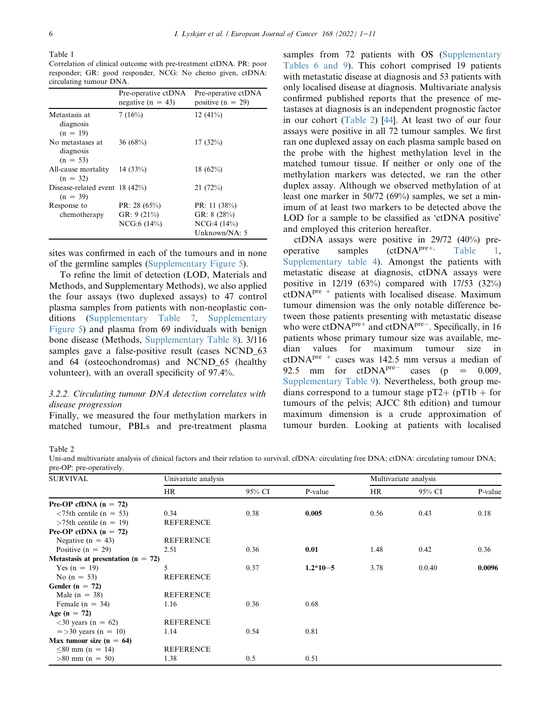<span id="page-5-1"></span>Table 1

Correlation of clinical outcome with pre-treatment ctDNA. PR: poor responder; GR: good responder, NCG: No chemo given, ctDNA: circulating tumour DNA.

|                                               | Pre-operative ctDNA<br>negative ( $n = 43$ )   | Pre-operative ctDNA<br>positive $(n = 29)$                       |
|-----------------------------------------------|------------------------------------------------|------------------------------------------------------------------|
| Metastasis at<br>diagnosis<br>$(n = 19)$      | 7(16%)                                         | 12 $(41\%)$                                                      |
| No metastases at<br>diagnosis<br>$(n = 53)$   | 36(68%)                                        | 17(32%)                                                          |
| All-cause mortality<br>$(n = 32)$             | 14 $(33%)$                                     | 18 $(62\%)$                                                      |
| Disease-related event $18(42%)$<br>$(n = 39)$ |                                                | 21(72%)                                                          |
| Response to<br>chemotherapy                   | PR: 28 $(65\%)$<br>GR: $9(21\%)$<br>NCG:6(14%) | PR: 11 $(38%)$<br>GR: $8(28%)$<br>NCG:4(14%)<br>Unknown/ $NA: 5$ |

sites was confirmed in each of the tumours and in none of the germline samples (Supplementary Figure 5).

To refine the limit of detection (LOD, Materials and Methods, and Supplementary Methods), we also applied the four assays (two duplexed assays) to 47 control plasma samples from patients with non-neoplastic conditions (Supplementary Table 7, Supplementary Figure 5) and plasma from 69 individuals with benign bone disease (Methods, Supplementary Table 8). 3/116 samples gave a false-positive result (cases NCND 63) and 64 (osteochondromas) and NCND\_65 (healthy volunteer), with an overall specificity of 97.4%.

# 3.2.2. Circulating tumour DNA detection correlates with disease progression

Finally, we measured the four methylation markers in matched tumour, PBLs and pre-treatment plasma

samples from 72 patients with OS (Supplementary Tables 6 and 9). This cohort comprised 19 patients with metastatic disease at diagnosis and 53 patients with only localised disease at diagnosis. Multivariate analysis confirmed published reports that the presence of metastases at diagnosis is an independent prognostic factor in our cohort ([Table 2](#page-5-0)) [\[44](#page-9-30)]. At least two of our four assays were positive in all 72 tumour samples. We first ran one duplexed assay on each plasma sample based on the probe with the highest methylation level in the matched tumour tissue. If neither or only one of the methylation markers was detected, we ran the other duplex assay. Although we observed methylation of at least one marker in 50/72 (69%) samples, we set a minimum of at least two markers to be detected above the LOD for a sample to be classified as 'ctDNA positive' and employed this criterion hereafter.

ctDNA assays were positive in 29/72 (40%) preoperative samples  $(ctDNA^{pre+},$  [Table 1](#page-5-1), Supplementary table 4). Amongst the patients with metastatic disease at diagnosis, ctDNA assays were positive in 12/19 (63%) compared with 17/53 (32%)  $ctDNA<sup>pre</sup>$  + patients with localised disease. Maximum tumour dimension was the only notable difference between those patients presenting with metastatic disease who were  $ctDNA<sup>pre+</sup>$  and  $ctDNA<sup>pre-</sup>$ . Specifically, in 16 patients whose primary tumour size was available, median values for maximum tumour size in  $ctDNA<sup>pre</sup>$  + cases was 142.5 mm versus a median of 92.5 mm for  $ctDNA<sup>pre-</sup>$  cases (p = 0.009, Supplementary Table 9). Nevertheless, both group medians correspond to a tumour stage  $pT2 + (pT1b + for$ tumours of the pelvis; AJCC 8th edition) and tumour maximum dimension is a crude approximation of tumour burden. Looking at patients with localised

<span id="page-5-0"></span>Table 2

Uni-and multivariate analysis of clinical factors and their relation to survival. cfDNA: circulating free DNA; ctDNA: circulating tumour DNA; pre-OP: pre-operatively.

| <b>SURVIVAL</b>                         | Univariate analysis |        |            | Multivariate analysis |        |         |
|-----------------------------------------|---------------------|--------|------------|-----------------------|--------|---------|
|                                         | HR                  | 95% CI | P-value    | HR.                   | 95% CI | P-value |
| Pre-OP cfDNA $(n = 72)$                 |                     |        |            |                       |        |         |
| $\langle 75$ th centile (n = 53)        | 0.34                | 0.38   | 0.005      | 0.56                  | 0.43   | 0.18    |
| $>75$ th centile (n = 19)               | <b>REFERENCE</b>    |        |            |                       |        |         |
| Pre-OP ctDNA $(n = 72)$                 |                     |        |            |                       |        |         |
| Negative ( $n = 43$ )                   | <b>REFERENCE</b>    |        |            |                       |        |         |
| Positive $(n = 29)$                     | 2.51                | 0.36   | 0.01       | 1.48                  | 0.42   | 0.36    |
| Metastasis at presentation ( $n = 72$ ) |                     |        |            |                       |        |         |
| Yes $(n = 19)$                          | 5                   | 0.37   | $1.2*10-5$ | 3.78                  | 0.0.40 | 0.0096  |
| No $(n = 53)$                           | <b>REFERENCE</b>    |        |            |                       |        |         |
| Gender ( $n = 72$ )                     |                     |        |            |                       |        |         |
| Male $(n = 38)$                         | <b>REFERENCE</b>    |        |            |                       |        |         |
| Female $(n = 34)$                       | 1.16                | 0.36   | 0.68       |                       |        |         |
| Age $(n = 72)$                          |                     |        |            |                       |        |         |
| $<30$ years (n = 62)                    | <b>REFERENCE</b>    |        |            |                       |        |         |
| $=$ >30 years (n = 10)                  | 1.14                | 0.54   | 0.81       |                       |        |         |
| Max tumour size $(n = 64)$              |                     |        |            |                       |        |         |
| $<80$ mm (n = 14)                       | <b>REFERENCE</b>    |        |            |                       |        |         |
| $>80$ mm (n = 50)                       | 1.38                | 0.5    | 0.51       |                       |        |         |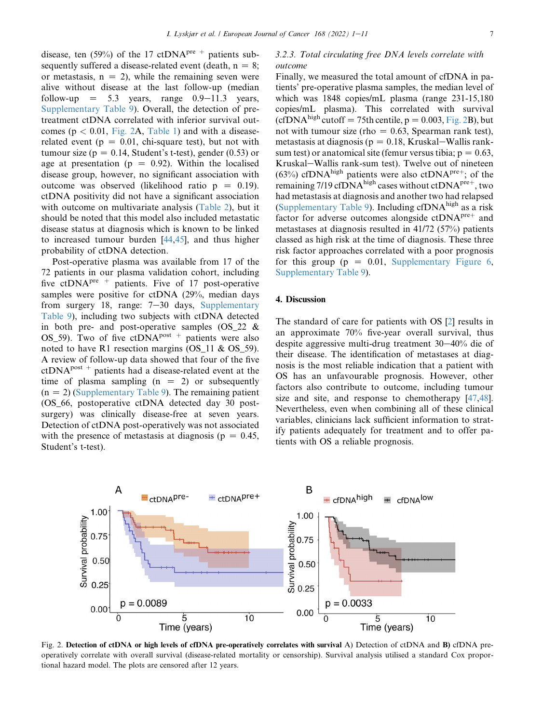disease, ten (59%) of the 17 ctDNA<sup>pre +</sup> patients subsequently suffered a disease-related event (death,  $n = 8$ ; or metastasis,  $n = 2$ ), while the remaining seven were alive without disease at the last follow-up (median follow-up  $= 5.3$  years, range  $0.9-11.3$  years, Supplementary Table 9). Overall, the detection of pretreatment ctDNA correlated with inferior survival outcomes ( $p < 0.01$ , [Fig. 2A](#page-6-0), [Table 1\)](#page-5-1) and with a diseaserelated event ( $p = 0.01$ , chi-square test), but not with tumour size ( $p = 0.14$ , Student's t-test), gender (0.53) or age at presentation ( $p = 0.92$ ). Within the localised disease group, however, no significant association with outcome was observed (likelihood ratio  $p = 0.19$ ). ctDNA positivity did not have a significant association with outcome on multivariate analysis [\(Table 2\)](#page-5-0), but it should be noted that this model also included metastatic disease status at diagnosis which is known to be linked to increased tumour burden [[44,](#page-9-30)[45](#page-10-0)], and thus higher probability of ctDNA detection.

Post-operative plasma was available from 17 of the 72 patients in our plasma validation cohort, including five ctDNA<sup>pre +</sup> patients. Five of 17 post-operative samples were positive for ctDNA (29%, median days from surgery 18, range:  $7-30$  days, Supplementary Table 9), including two subjects with ctDNA detected in both pre- and post-operative samples (OS\_22 & OS\_59). Two of five ctDNA<sup>post +</sup> patients were also noted to have R1 resection margins (OS\_11 & OS\_59). A review of follow-up data showed that four of the five  $ctDNA<sup>post</sup>$  + patients had a disease-related event at the time of plasma sampling  $(n = 2)$  or subsequently  $(n = 2)$  (Supplementary Table 9). The remaining patient (OS\_66, postoperative ctDNA detected day 30 postsurgery) was clinically disease-free at seven years. Detection of ctDNA post-operatively was not associated with the presence of metastasis at diagnosis ( $p = 0.45$ , Student's t-test).

# 3.2.3. Total circulating free DNA levels correlate with outcome

Finally, we measured the total amount of cfDNA in patients' pre-operative plasma samples, the median level of which was 1848 copies/mL plasma (range 231-15,180 copies/mL plasma). This correlated with survival (cfDNA<sup>high</sup> cutoff = 75th centile,  $p=0.003$ , [Fig. 2B](#page-6-0)), but not with tumour size (rho  $= 0.63$ , Spearman rank test), metastasis at diagnosis ( $p = 0.18$ , Kruskal–Wallis ranksum test) or anatomical site (femur versus tibia;  $p = 0.63$ , Kruskal–Wallis rank-sum test). Twelve out of nineteen (63%) cfDNA<sup>high</sup> patients were also ctDNA<sup>pre+</sup>; of the remaining 7/19 cfDNA<sup>high</sup> cases without ctDNA<sup>pre+</sup>, two had metastasis at diagnosis and another two had relapsed (Supplementary Table 9). Including  $cfDNA<sup>high</sup>$  as a risk factor for adverse outcomes alongside  $ctDNA<sup>pre+</sup>$  and metastases at diagnosis resulted in 41/72 (57%) patients classed as high risk at the time of diagnosis. These three risk factor approaches correlated with a poor prognosis for this group ( $p = 0.01$ , Supplementary Figure 6, Supplementary Table 9).

#### 4. Discussion

The standard of care for patients with OS [\[2](#page-8-1)] results in an approximate 70% five-year overall survival, thus despite aggressive multi-drug treatment  $30-40\%$  die of their disease. The identification of metastases at diagnosis is the most reliable indication that a patient with OS has an unfavourable prognosis. However, other factors also contribute to outcome, including tumour size and site, and response to chemotherapy [\[47](#page-10-1)[,48](#page-10-2)]. Nevertheless, even when combining all of these clinical variables, clinicians lack sufficient information to stratify patients adequately for treatment and to offer patients with OS a reliable prognosis.

<span id="page-6-0"></span>

Fig. 2. Detection of ctDNA or high levels of cfDNA pre-operatively correlates with survival A) Detection of ctDNA and B) cfDNA preoperatively correlate with overall survival (disease-related mortality or censorship). Survival analysis utilised a standard Cox proportional hazard model. The plots are censored after 12 years.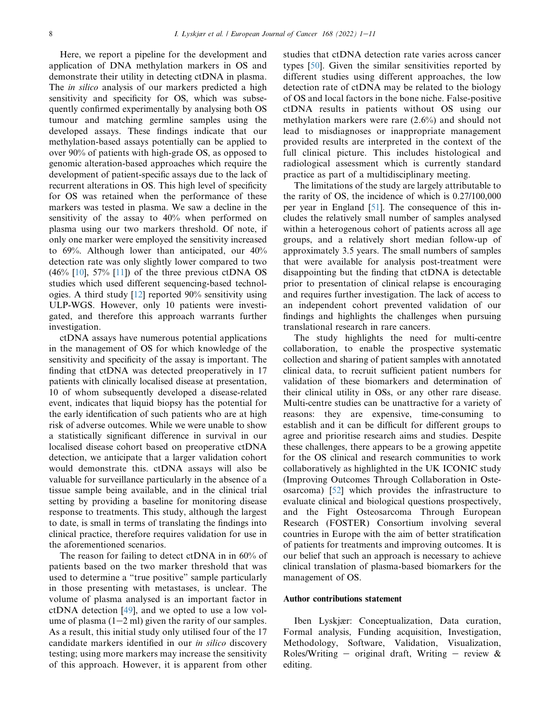Here, we report a pipeline for the development and application of DNA methylation markers in OS and demonstrate their utility in detecting ctDNA in plasma. The *in silico* analysis of our markers predicted a high sensitivity and specificity for OS, which was subsequently confirmed experimentally by analysing both OS tumour and matching germline samples using the developed assays. These findings indicate that our methylation-based assays potentially can be applied to over 90% of patients with high-grade OS, as opposed to genomic alteration-based approaches which require the development of patient-specific assays due to the lack of recurrent alterations in OS. This high level of specificity for OS was retained when the performance of these markers was tested in plasma. We saw a decline in the sensitivity of the assay to 40% when performed on plasma using our two markers threshold. Of note, if only one marker were employed the sensitivity increased to 69%. Although lower than anticipated, our 40% detection rate was only slightly lower compared to two  $(46\%$  [\[10](#page-9-3)], 57% [[11\]](#page-9-4)) of the three previous ctDNA OS studies which used different sequencing-based technologies. A third study [[12\]](#page-9-5) reported 90% sensitivity using ULP-WGS. However, only 10 patients were investigated, and therefore this approach warrants further investigation.

ctDNA assays have numerous potential applications in the management of OS for which knowledge of the sensitivity and specificity of the assay is important. The finding that ctDNA was detected preoperatively in 17 patients with clinically localised disease at presentation, 10 of whom subsequently developed a disease-related event, indicates that liquid biopsy has the potential for the early identification of such patients who are at high risk of adverse outcomes. While we were unable to show a statistically significant difference in survival in our localised disease cohort based on preoperative ctDNA detection, we anticipate that a larger validation cohort would demonstrate this. ctDNA assays will also be valuable for surveillance particularly in the absence of a tissue sample being available, and in the clinical trial setting by providing a baseline for monitoring disease response to treatments. This study, although the largest to date, is small in terms of translating the findings into clinical practice, therefore requires validation for use in the aforementioned scenarios.

The reason for failing to detect ctDNA in in 60% of patients based on the two marker threshold that was used to determine a "true positive" sample particularly in those presenting with metastases, is unclear. The volume of plasma analysed is an important factor in ctDNA detection [[49\]](#page-10-3), and we opted to use a low volume of plasma  $(1-2$  ml) given the rarity of our samples. As a result, this initial study only utilised four of the 17 candidate markers identified in our in silico discovery testing; using more markers may increase the sensitivity of this approach. However, it is apparent from other studies that ctDNA detection rate varies across cancer types [[50\]](#page-10-4). Given the similar sensitivities reported by different studies using different approaches, the low detection rate of ctDNA may be related to the biology of OS and local factors in the bone niche. False-positive ctDNA results in patients without OS using our methylation markers were rare (2.6%) and should not lead to misdiagnoses or inappropriate management provided results are interpreted in the context of the full clinical picture. This includes histological and radiological assessment which is currently standard practice as part of a multidisciplinary meeting.

The limitations of the study are largely attributable to the rarity of OS, the incidence of which is 0.27/100,000 per year in England [\[51](#page-10-5)]. The consequence of this includes the relatively small number of samples analysed within a heterogenous cohort of patients across all age groups, and a relatively short median follow-up of approximately 3.5 years. The small numbers of samples that were available for analysis post-treatment were disappointing but the finding that ctDNA is detectable prior to presentation of clinical relapse is encouraging and requires further investigation. The lack of access to an independent cohort prevented validation of our findings and highlights the challenges when pursuing translational research in rare cancers.

The study highlights the need for multi-centre collaboration, to enable the prospective systematic collection and sharing of patient samples with annotated clinical data, to recruit sufficient patient numbers for validation of these biomarkers and determination of their clinical utility in OSs, or any other rare disease. Multi-centre studies can be unattractive for a variety of reasons: they are expensive, time-consuming to establish and it can be difficult for different groups to agree and prioritise research aims and studies. Despite these challenges, there appears to be a growing appetite for the OS clinical and research communities to work collaboratively as highlighted in the UK ICONIC study (Improving Outcomes Through Collaboration in Osteosarcoma) [\[52](#page-10-6)] which provides the infrastructure to evaluate clinical and biological questions prospectively, and the Fight Osteosarcoma Through European Research (FOSTER) Consortium involving several countries in Europe with the aim of better stratification of patients for treatments and improving outcomes. It is our belief that such an approach is necessary to achieve clinical translation of plasma-based biomarkers for the management of OS.

## Author contributions statement

Iben Lyskjær: Conceptualization, Data curation, Formal analysis, Funding acquisition, Investigation, Methodology, Software, Validation, Visualization, Roles/Writing – original draft, Writing – review  $\&$ editing.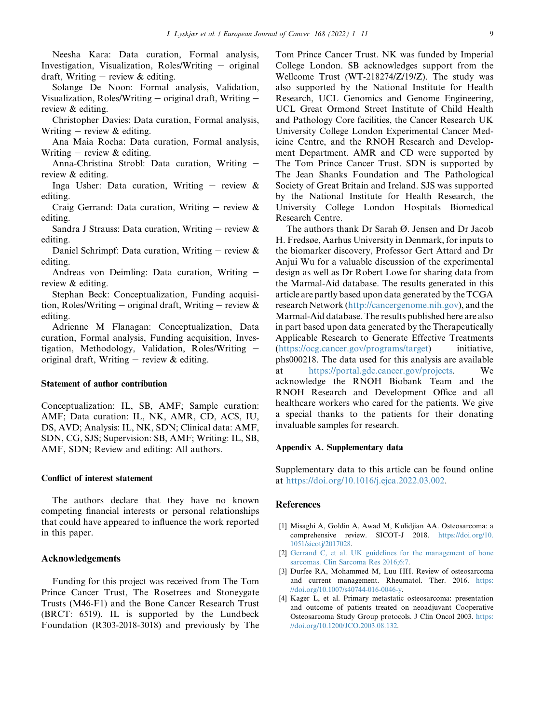Neesha Kara: Data curation, Formal analysis, Investigation, Visualization, Roles/Writing  $-$  original draft, Writing  $-$  review & editing.

Solange De Noon: Formal analysis, Validation, Visualization, Roles/Writing  $-$  original draft, Writing  $$ review & editing.

Christopher Davies: Data curation, Formal analysis, Writing  $-$  review & editing.

Ana Maia Rocha: Data curation, Formal analysis, Writing – review  $&$  editing.

Anna-Christina Strobl: Data curation, Writing review & editing.

Inga Usher: Data curation, Writing  $-$  review  $\&$ editing.

Craig Gerrand: Data curation, Writing  $-$  review  $\&$ editing.

Sandra J Strauss: Data curation, Writing  $-$  review  $\&$ editing.

Daniel Schrimpf: Data curation, Writing  $-$  review  $\&$ editing.

Andreas von Deimling: Data curation, Writing  $$ review & editing.

Stephan Beck: Conceptualization, Funding acquisition, Roles/Writing – original draft, Writing – review  $\&$ editing.

Adrienne M Flanagan: Conceptualization, Data curation, Formal analysis, Funding acquisition, Investigation, Methodology, Validation, Roles/Writing  $$ original draft, Writing  $-$  review  $\&$  editing.

# Statement of author contribution

Conceptualization: IL, SB, AMF; Sample curation: AMF; Data curation: IL, NK, AMR, CD, ACS, IU, DS, AVD; Analysis: IL, NK, SDN; Clinical data: AMF, SDN, CG, SJS; Supervision: SB, AMF; Writing: IL, SB, AMF, SDN; Review and editing: All authors.

## Conflict of interest statement

The authors declare that they have no known competing financial interests or personal relationships that could have appeared to influence the work reported in this paper.

#### Acknowledgements

Funding for this project was received from The Tom Prince Cancer Trust, The Rosetrees and Stoneygate Trusts (M46-F1) and the Bone Cancer Research Trust (BRCT: 6519). IL is supported by the Lundbeck Foundation (R303-2018-3018) and previously by The Tom Prince Cancer Trust. NK was funded by Imperial College London. SB acknowledges support from the Wellcome Trust (WT-218274/Z/19/Z). The study was also supported by the National Institute for Health Research, UCL Genomics and Genome Engineering, UCL Great Ormond Street Institute of Child Health and Pathology Core facilities, the Cancer Research UK University College London Experimental Cancer Medicine Centre, and the RNOH Research and Development Department. AMR and CD were supported by The Tom Prince Cancer Trust. SDN is supported by The Jean Shanks Foundation and The Pathological Society of Great Britain and Ireland. SJS was supported by the National Institute for Health Research, the University College London Hospitals Biomedical Research Centre.

The authors thank Dr Sarah Ø. Jensen and Dr Jacob H. Fredsøe, Aarhus University in Denmark, for inputs to the biomarker discovery, Professor Gert Attard and Dr Anjui Wu for a valuable discussion of the experimental design as well as Dr Robert Lowe for sharing data from the Marmal-Aid database. The results generated in this article are partly based upon data generated by the TCGA research Network [\(http://cancergenome.nih.gov](http://cancergenome.nih.gov)), and the Marmal-Aid database. The results published here are also in part based upon data generated by the Therapeutically Applicable Research to Generate Effective Treatments ([https://ocg.cancer.gov/programs/target\)](https://ocg.cancer.gov/programs/target) initiative, phs000218. The data used for this analysis are available at [https://portal.gdc.cancer.gov/projects.](https://portal.gdc.cancer.gov/projects) We acknowledge the RNOH Biobank Team and the RNOH Research and Development Office and all healthcare workers who cared for the patients. We give a special thanks to the patients for their donating invaluable samples for research.

#### Appendix A. Supplementary data

Supplementary data to this article can be found online at [https://doi.org/10.1016/j.ejca.2022.03.002.](https://doi.org/10.1016/j.ejca.2022.03.002)

## References

- <span id="page-8-0"></span>[1] Misaghi A, Goldin A, Awad M, Kulidjian AA. Osteosarcoma: a comprehensive review. SICOT-J 2018. [https://doi.org/10.](https://doi.org/10.1051/sicotj/2017028) [1051/sicotj/2017028.](https://doi.org/10.1051/sicotj/2017028)
- <span id="page-8-1"></span>[2] [Gerrand C, et al. UK guidelines for the management of bone](http://refhub.elsevier.com/S0959-8049(22)00141-1/sref2) [sarcomas. Clin Sarcoma Res 2016;6:7.](http://refhub.elsevier.com/S0959-8049(22)00141-1/sref2)
- <span id="page-8-2"></span>[3] Durfee RA, Mohammed M, Luu HH. Review of osteosarcoma and current management. Rheumatol. Ther. 2016. [https:](https://doi.org/10.1007/s40744-016-0046-y) [//doi.org/10.1007/s40744-016-0046-y.](https://doi.org/10.1007/s40744-016-0046-y)
- <span id="page-8-3"></span>[4] Kager L, et al. Primary metastatic osteosarcoma: presentation and outcome of patients treated on neoadjuvant Cooperative Osteosarcoma Study Group protocols. J Clin Oncol 2003. [https:](https://doi.org/10.1200/JCO.2003.08.132) [//doi.org/10.1200/JCO.2003.08.132.](https://doi.org/10.1200/JCO.2003.08.132)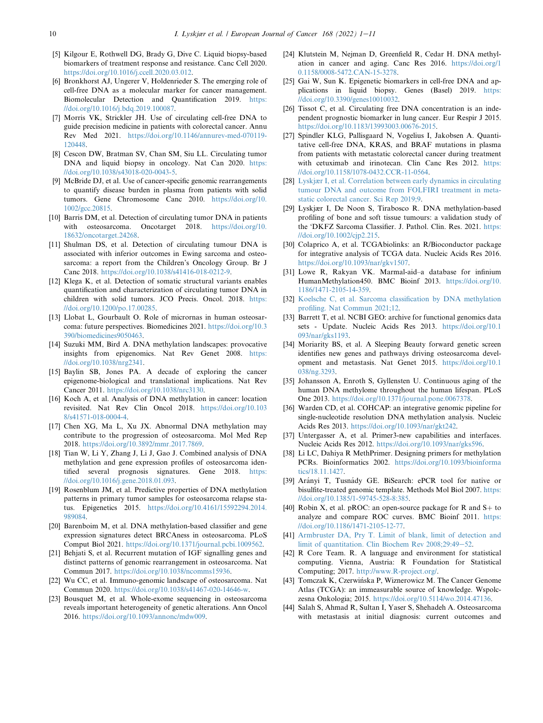- <span id="page-9-0"></span>[5] Kilgour E, Rothwell DG, Brady G, Dive C. Liquid biopsy-based biomarkers of treatment response and resistance. Canc Cell 2020. [https://doi.org/10.1016/j.ccell.2020.03.012.](https://doi.org/10.1016/j.ccell.2020.03.012)
- <span id="page-9-1"></span>[6] Bronkhorst AJ, Ungerer V, Holdenrieder S. The emerging role of cell-free DNA as a molecular marker for cancer management. Biomolecular Detection and Quantification 2019. [https:](https://doi.org/10.1016/j.bdq.2019.100087) [//doi.org/10.1016/j.bdq.2019.100087.](https://doi.org/10.1016/j.bdq.2019.100087)
- [7] Morris VK, Strickler JH. Use of circulating cell-free DNA to guide precision medicine in patients with colorectal cancer. Annu Rev Med 2021. [https://doi.org/10.1146/annurev-med-070119-](https://doi.org/10.1146/annurev-med-070119-120448) [120448.](https://doi.org/10.1146/annurev-med-070119-120448)
- [8] Cescon DW, Bratman SV, Chan SM, Siu LL. Circulating tumor DNA and liquid biopsy in oncology. Nat Can 2020. [https:](https://doi.org/10.1038/s43018-020-0043-5) [//doi.org/10.1038/s43018-020-0043-5](https://doi.org/10.1038/s43018-020-0043-5).
- <span id="page-9-2"></span>[9] McBride DJ, et al. Use of cancer-specific genomic rearrangements to quantify disease burden in plasma from patients with solid tumors. Gene Chromosome Canc 2010. [https://doi.org/10.](https://doi.org/10.1002/gcc.20815) [1002/gcc.20815](https://doi.org/10.1002/gcc.20815).
- <span id="page-9-3"></span>[10] Barris DM, et al. Detection of circulating tumor DNA in patients with osteosarcoma. Oncotarget 2018. [https://doi.org/10.](https://doi.org/10.18632/oncotarget.24268) [18632/oncotarget.24268.](https://doi.org/10.18632/oncotarget.24268)
- <span id="page-9-4"></span>[11] Shulman DS, et al. Detection of circulating tumour DNA is associated with inferior outcomes in Ewing sarcoma and osteosarcoma: a report from the Children's Oncology Group. Br J Canc 2018. <https://doi.org/10.1038/s41416-018-0212-9>.
- <span id="page-9-5"></span>[12] Klega K, et al. Detection of somatic structural variants enables quantification and characterization of circulating tumor DNA in children with solid tumors. JCO Precis. Oncol. 2018. [https:](https://doi.org/10.1200/po.17.00285) [//doi.org/10.1200/po.17.00285](https://doi.org/10.1200/po.17.00285).
- <span id="page-9-6"></span>[13] Llobat L, Gourbault O. Role of micrornas in human osteosarcoma: future perspectives. Biomedicines 2021. [https://doi.org/10.3](https://doi.org/10.3390/biomedicines9050463) [390/biomedicines9050463](https://doi.org/10.3390/biomedicines9050463).
- <span id="page-9-7"></span>[14] Suzuki MM, Bird A. DNA methylation landscapes: provocative insights from epigenomics. Nat Rev Genet 2008. [https:](https://doi.org/10.1038/nrg2341) [//doi.org/10.1038/nrg2341.](https://doi.org/10.1038/nrg2341)
- <span id="page-9-8"></span>[15] Baylin SB, Jones PA. A decade of exploring the cancer epigenome-biological and translational implications. Nat Rev Cancer 2011. <https://doi.org/10.1038/nrc3130>.
- <span id="page-9-9"></span>[16] Koch A, et al. Analysis of DNA methylation in cancer: location revisited. Nat Rev Clin Oncol 2018. [https://doi.org/10.103](https://doi.org/10.1038/s41571-018-0004-4) [8/s41571-018-0004-4.](https://doi.org/10.1038/s41571-018-0004-4)
- <span id="page-9-10"></span>[17] Chen XG, Ma L, Xu JX. Abnormal DNA methylation may contribute to the progression of osteosarcoma. Mol Med Rep 2018. [https://doi.org/10.3892/mmr.2017.7869.](https://doi.org/10.3892/mmr.2017.7869)
- [18] Tian W, Li Y, Zhang J, Li J, Gao J. Combined analysis of DNA methylation and gene expression profiles of osteosarcoma identified several prognosis signatures. Gene 2018. [https:](https://doi.org/10.1016/j.gene.2018.01.093) [//doi.org/10.1016/j.gene.2018.01.093](https://doi.org/10.1016/j.gene.2018.01.093).
- [19] Rosenblum JM, et al. Predictive properties of DNA methylation patterns in primary tumor samples for osteosarcoma relapse status. Epigenetics 2015. [https://doi.org/10.4161/15592294.2014.](https://doi.org/10.4161/15592294.2014.989084) [989084.](https://doi.org/10.4161/15592294.2014.989084)
- [20] Barenboim M, et al. DNA methylation-based classifier and gene expression signatures detect BRCAness in osteosarcoma. PLoS Comput Biol 2021. [https://doi.org/10.1371/journal.pcbi.1009562.](https://doi.org/10.1371/journal.pcbi.1009562)
- <span id="page-9-11"></span>[21] Behjati S, et al. Recurrent mutation of IGF signalling genes and distinct patterns of genomic rearrangement in osteosarcoma. Nat Commun 2017. <https://doi.org/10.1038/ncomms15936>.
- [22] Wu CC, et al. Immuno-genomic landscape of osteosarcoma. Nat Commun 2020. <https://doi.org/10.1038/s41467-020-14646-w>.
- [23] Bousquet M, et al. Whole-exome sequencing in osteosarcoma reveals important heterogeneity of genetic alterations. Ann Oncol 2016. <https://doi.org/10.1093/annonc/mdw009>.
- <span id="page-9-12"></span>[24] Klutstein M, Nejman D, Greenfield R, Cedar H. DNA methylation in cancer and aging. Canc Res 2016. [https://doi.org/1](https://doi.org/10.1158/0008-5472.CAN-15-3278) [0.1158/0008-5472.CAN-15-3278](https://doi.org/10.1158/0008-5472.CAN-15-3278).
- <span id="page-9-13"></span>[25] Gai W, Sun K. Epigenetic biomarkers in cell-free DNA and applications in liquid biopsy. Genes (Basel) 2019. [https:](https://doi.org/10.3390/genes10010032) [//doi.org/10.3390/genes10010032.](https://doi.org/10.3390/genes10010032)
- <span id="page-9-14"></span>[26] Tissot C, et al. Circulating free DNA concentration is an independent prognostic biomarker in lung cancer. Eur Respir J 2015. <https://doi.org/10.1183/13993003.00676-2015>.
- [27] Spindler KLG, Pallisgaard N, Vogelius I, Jakobsen A. Quantitative cell-free DNA, KRAS, and BRAF mutations in plasma from patients with metastatic colorectal cancer during treatment with cetuximab and irinotecan. Clin Canc Res 2012. [https:](https://doi.org/10.1158/1078-0432.CCR-11-0564) [//doi.org/10.1158/1078-0432.CCR-11-0564.](https://doi.org/10.1158/1078-0432.CCR-11-0564)
- [28] [Lyskjær I, et al. Correlation between early dynamics in circulating](http://refhub.elsevier.com/S0959-8049(22)00141-1/sref28) [tumour DNA and outcome from FOLFIRI treatment in meta](http://refhub.elsevier.com/S0959-8049(22)00141-1/sref28)[static colorectal cancer. Sci Rep 2019;9.](http://refhub.elsevier.com/S0959-8049(22)00141-1/sref28)
- <span id="page-9-15"></span>[29] Lyskjær I, De Noon S, Tirabosco R. DNA methylation-based profiling of bone and soft tissue tumours: a validation study of the 'DKFZ Sarcoma Classifier. J. Pathol. Clin. Res. 2021. [https:](https://doi.org/10.1002/cjp2.215) [//doi.org/10.1002/cjp2.215.](https://doi.org/10.1002/cjp2.215)
- <span id="page-9-16"></span>[30] Colaprico A, et al. TCGAbiolinks: an R/Bioconductor package for integrative analysis of TCGA data. Nucleic Acids Res 2016. [https://doi.org/10.1093/nar/gkv1507.](https://doi.org/10.1093/nar/gkv1507)
- <span id="page-9-17"></span>[31] Lowe R, Rakyan VK. Marmal-aid–a database for infinium HumanMethylation450. BMC Bioinf 2013. [https://doi.org/10.](https://doi.org/10.1186/1471-2105-14-359) [1186/1471-2105-14-359.](https://doi.org/10.1186/1471-2105-14-359)
- <span id="page-9-18"></span>[32] [Koelsche C, et al. Sarcoma classification by DNA methylation](http://refhub.elsevier.com/S0959-8049(22)00141-1/sref32) [profiling. Nat Commun 2021;12](http://refhub.elsevier.com/S0959-8049(22)00141-1/sref32).
- <span id="page-9-19"></span>[33] Barrett T, et al. NCBI GEO: archive for functional genomics data sets - Update. Nucleic Acids Res 2013. [https://doi.org/10.1](https://doi.org/10.1093/nar/gks1193) [093/nar/gks1193](https://doi.org/10.1093/nar/gks1193).
- <span id="page-9-20"></span>[34] Moriarity BS, et al. A Sleeping Beauty forward genetic screen identifies new genes and pathways driving osteosarcoma development and metastasis. Nat Genet 2015. [https://doi.org/10.1](https://doi.org/10.1038/ng.3293) [038/ng.3293.](https://doi.org/10.1038/ng.3293)
- <span id="page-9-21"></span>[35] Johansson A, Enroth S, Gyllensten U. Continuous aging of the human DNA methylome throughout the human lifespan. PLoS One 2013. <https://doi.org/10.1371/journal.pone.0067378>.
- <span id="page-9-22"></span>[36] Warden CD, et al. COHCAP: an integrative genomic pipeline for single-nucleotide resolution DNA methylation analysis. Nucleic Acids Res 2013. <https://doi.org/10.1093/nar/gkt242>.
- <span id="page-9-23"></span>[37] Untergasser A, et al. Primer3-new capabilities and interfaces. Nucleic Acids Res 2012. <https://doi.org/10.1093/nar/gks596>.
- <span id="page-9-24"></span>[38] Li LC, Dahiya R MethPrimer. Designing primers for methylation PCRs. Bioinformatics 2002. [https://doi.org/10.1093/bioinforma](https://doi.org/10.1093/bioinformatics/18.11.1427) [tics/18.11.1427.](https://doi.org/10.1093/bioinformatics/18.11.1427)
- <span id="page-9-25"></span>[39] Arányi T, Tusnády GE. BiSearch: ePCR tool for native or bisulfite-treated genomic template. Methods Mol Biol 2007. [https:](https://doi.org/10.1385/1-59745-528-8:385) [//doi.org/10.1385/1-59745-528-8:385](https://doi.org/10.1385/1-59745-528-8:385).
- <span id="page-9-26"></span>[40] Robin X, et al. pROC: an open-source package for R and  $S$ + to analyze and compare ROC curves. BMC Bioinf 2011. [https:](https://doi.org/10.1186/1471-2105-12-77) [//doi.org/10.1186/1471-2105-12-77](https://doi.org/10.1186/1471-2105-12-77).
- <span id="page-9-27"></span>[41] [Armbruster DA, Pry T. Limit of blank, limit of detection and](http://refhub.elsevier.com/S0959-8049(22)00141-1/sref41) [limit of quantitation. Clin Biochem Rev 2008;29:49](http://refhub.elsevier.com/S0959-8049(22)00141-1/sref41)-[52.](http://refhub.elsevier.com/S0959-8049(22)00141-1/sref41)
- <span id="page-9-28"></span>[42] R Core Team. R. A language and environment for statistical computing. Vienna, Austria: R Foundation for Statistical Computing; 2017. <http://www.R-project.org/>.
- <span id="page-9-29"></span>[43] Tomczak K, Czerwińska P, Wiznerowicz M. The Cancer Genome Atlas (TCGA): an immeasurable source of knowledge. Wspolczesna Onkologia; 2015. <https://doi.org/10.5114/wo.2014.47136>.
- <span id="page-9-30"></span>[44] Salah S, Ahmad R, Sultan I, Yaser S, Shehadeh A. Osteosarcoma with metastasis at initial diagnosis: current outcomes and